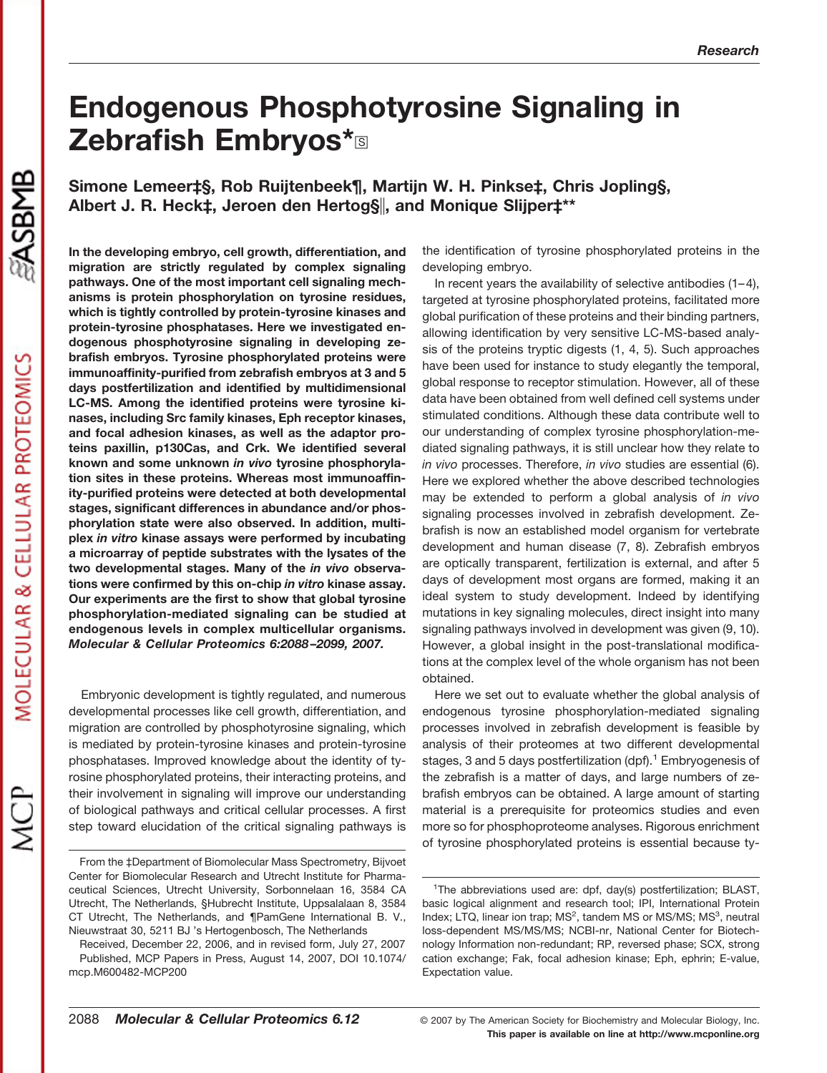# **Endogenous Phosphotyrosine Signaling in Zebrafish Embryos\***<sup>®</sup>

**Simone Lemeer‡§, Rob Ruijtenbeek¶, Martijn W. H. Pinkse‡, Chris Jopling§, Albert J. R. Heck‡, Jeroen den Hertog§, and Monique Slijper‡\*\***

ASBMB

**In the developing embryo, cell growth, differentiation, and migration are strictly regulated by complex signaling pathways. One of the most important cell signaling mechanisms is protein phosphorylation on tyrosine residues, which is tightly controlled by protein-tyrosine kinases and protein-tyrosine phosphatases. Here we investigated endogenous phosphotyrosine signaling in developing zebrafish embryos. Tyrosine phosphorylated proteins were immunoaffinity-purified from zebrafish embryos at 3 and 5 days postfertilization and identified by multidimensional LC-MS. Among the identified proteins were tyrosine kinases, including Src family kinases, Eph receptor kinases, and focal adhesion kinases, as well as the adaptor proteins paxillin, p130Cas, and Crk. We identified several known and some unknown** *in vivo* **tyrosine phosphorylation sites in these proteins. Whereas most immunoaffinity-purified proteins were detected at both developmental stages, significant differences in abundance and/or phosphorylation state were also observed. In addition, multiplex** *in vitro* **kinase assays were performed by incubating a microarray of peptide substrates with the lysates of the two developmental stages. Many of the** *in vivo* **observations were confirmed by this on-chip** *in vitro* **kinase assay. Our experiments are the first to show that global tyrosine phosphorylation-mediated signaling can be studied at endogenous levels in complex multicellular organisms.** *Molecular & Cellular Proteomics 6:2088 –2099, 2007.*

Embryonic development is tightly regulated, and numerous developmental processes like cell growth, differentiation, and migration are controlled by phosphotyrosine signaling, which is mediated by protein-tyrosine kinases and protein-tyrosine phosphatases. Improved knowledge about the identity of tyrosine phosphorylated proteins, their interacting proteins, and their involvement in signaling will improve our understanding of biological pathways and critical cellular processes. A first step toward elucidation of the critical signaling pathways is the identification of tyrosine phosphorylated proteins in the developing embryo.

In recent years the availability of selective antibodies  $(1-4)$ , targeted at tyrosine phosphorylated proteins, facilitated more global purification of these proteins and their binding partners, allowing identification by very sensitive LC-MS-based analysis of the proteins tryptic digests (1, 4, 5). Such approaches have been used for instance to study elegantly the temporal, global response to receptor stimulation. However, all of these data have been obtained from well defined cell systems under stimulated conditions. Although these data contribute well to our understanding of complex tyrosine phosphorylation-mediated signaling pathways, it is still unclear how they relate to *in vivo* processes. Therefore, *in vivo* studies are essential (6). Here we explored whether the above described technologies may be extended to perform a global analysis of *in vivo* signaling processes involved in zebrafish development. Zebrafish is now an established model organism for vertebrate development and human disease (7, 8). Zebrafish embryos are optically transparent, fertilization is external, and after 5 days of development most organs are formed, making it an ideal system to study development. Indeed by identifying mutations in key signaling molecules, direct insight into many signaling pathways involved in development was given (9, 10). However, a global insight in the post-translational modifications at the complex level of the whole organism has not been obtained.

Here we set out to evaluate whether the global analysis of endogenous tyrosine phosphorylation-mediated signaling processes involved in zebrafish development is feasible by analysis of their proteomes at two different developmental stages, 3 and 5 days postfertilization (dpf).<sup>1</sup> Embryogenesis of the zebrafish is a matter of days, and large numbers of zebrafish embryos can be obtained. A large amount of starting material is a prerequisite for proteomics studies and even more so for phosphoproteome analyses. Rigorous enrichment of tyrosine phosphorylated proteins is essential because ty-

From the ‡Department of Biomolecular Mass Spectrometry, Bijvoet Center for Biomolecular Research and Utrecht Institute for Pharmaceutical Sciences, Utrecht University, Sorbonnelaan 16, 3584 CA Utrecht, The Netherlands, §Hubrecht Institute, Uppsalalaan 8, 3584 CT Utrecht, The Netherlands, and ¶PamGene International B. V., Nieuwstraat 30, 5211 BJ 's Hertogenbosch, The Netherlands

Received, December 22, 2006, and in revised form, July 27, 2007 Published, MCP Papers in Press, August 14, 2007, DOI 10.1074/ mcp.M600482-MCP200

<sup>&</sup>lt;sup>1</sup>The abbreviations used are: dpf, day(s) postfertilization; BLAST, basic logical alignment and research tool; IPI, International Protein Index; LTQ, linear ion trap; MS<sup>2</sup>, tandem MS or MS/MS; MS<sup>3</sup>, neutral loss-dependent MS/MS/MS; NCBI-nr, National Center for Biotechnology Information non-redundant; RP, reversed phase; SCX, strong cation exchange; Fak, focal adhesion kinase; Eph, ephrin; E-value, Expectation value.

**This paper is available on line at http://www.mcponline.org**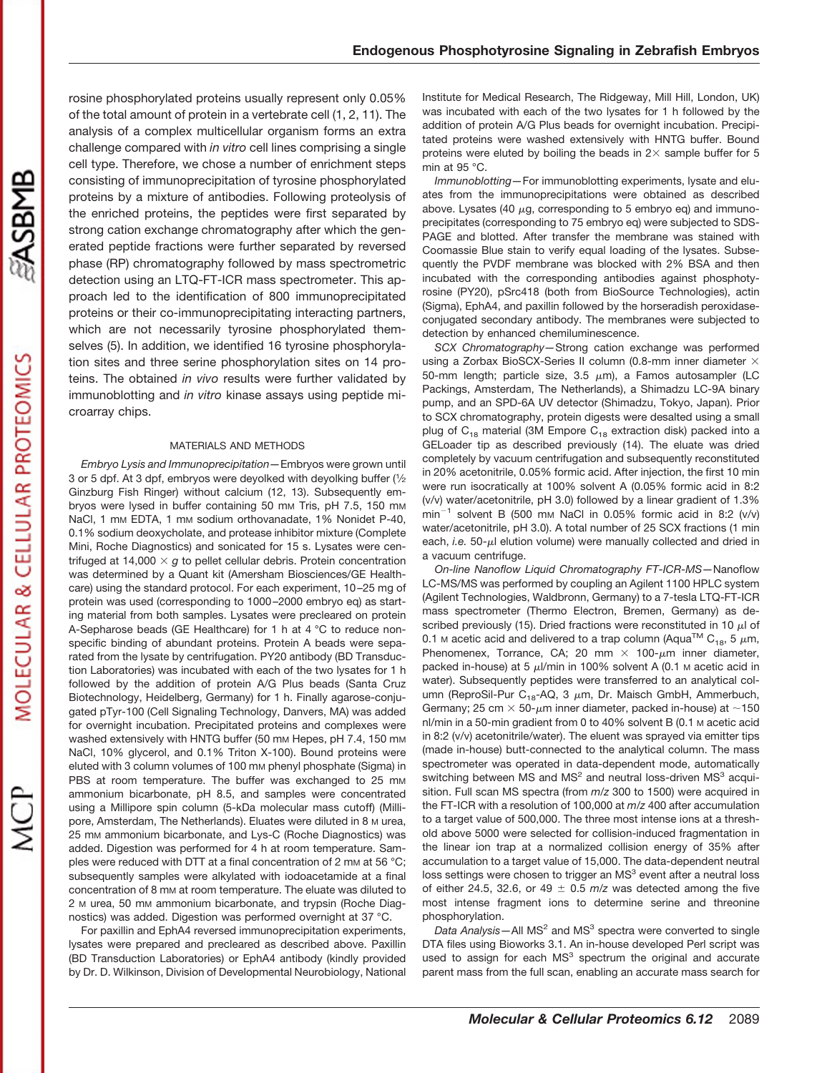**&ASBMB** 

MOLECULAR & CELLULAR PROTEOMICS

rosine phosphorylated proteins usually represent only 0.05% of the total amount of protein in a vertebrate cell (1, 2, 11). The analysis of a complex multicellular organism forms an extra challenge compared with *in vitro* cell lines comprising a single cell type. Therefore, we chose a number of enrichment steps consisting of immunoprecipitation of tyrosine phosphorylated proteins by a mixture of antibodies. Following proteolysis of the enriched proteins, the peptides were first separated by strong cation exchange chromatography after which the generated peptide fractions were further separated by reversed phase (RP) chromatography followed by mass spectrometric detection using an LTQ-FT-ICR mass spectrometer. This approach led to the identification of 800 immunoprecipitated proteins or their co-immunoprecipitating interacting partners, which are not necessarily tyrosine phosphorylated themselves (5). In addition, we identified 16 tyrosine phosphorylation sites and three serine phosphorylation sites on 14 proteins. The obtained *in vivo* results were further validated by immunoblotting and *in vitro* kinase assays using peptide microarray chips.

# MATERIALS AND METHODS

*Embryo Lysis and Immunoprecipitation—*Embryos were grown until 3 or 5 dpf. At 3 dpf, embryos were deyolked with deyolking buffer (1⁄2 Ginzburg Fish Ringer) without calcium (12, 13). Subsequently embryos were lysed in buffer containing 50 mm Tris, pH 7.5, 150 mm NaCl, 1 mm EDTA, 1 mm sodium orthovanadate, 1% Nonidet P-40, 0.1% sodium deoxycholate, and protease inhibitor mixture (Complete Mini, Roche Diagnostics) and sonicated for 15 s. Lysates were centrifuged at 14,000  $\times$  g to pellet cellular debris. Protein concentration was determined by a Quant kit (Amersham Biosciences/GE Healthcare) using the standard protocol. For each experiment, 10–25 mg of protein was used (corresponding to 1000–2000 embryo eq) as starting material from both samples. Lysates were precleared on protein A-Sepharose beads (GE Healthcare) for 1 h at 4 °C to reduce nonspecific binding of abundant proteins. Protein A beads were separated from the lysate by centrifugation. PY20 antibody (BD Transduction Laboratories) was incubated with each of the two lysates for 1 h followed by the addition of protein A/G Plus beads (Santa Cruz Biotechnology, Heidelberg, Germany) for 1 h. Finally agarose-conjugated pTyr-100 (Cell Signaling Technology, Danvers, MA) was added for overnight incubation. Precipitated proteins and complexes were washed extensively with HNTG buffer (50 mm Hepes, pH 7.4, 150 mm NaCl, 10% glycerol, and 0.1% Triton X-100). Bound proteins were eluted with 3 column volumes of 100 mm phenyl phosphate (Sigma) in PBS at room temperature. The buffer was exchanged to 25 mm ammonium bicarbonate, pH 8.5, and samples were concentrated using a Millipore spin column (5-kDa molecular mass cutoff) (Millipore, Amsterdam, The Netherlands). Eluates were diluted in 8 M urea, 25 mM ammonium bicarbonate, and Lys-C (Roche Diagnostics) was added. Digestion was performed for 4 h at room temperature. Samples were reduced with DTT at a final concentration of 2 mm at 56  $^{\circ}$ C: subsequently samples were alkylated with iodoacetamide at a final concentration of 8 mM at room temperature. The eluate was diluted to 2 M urea, 50 mM ammonium bicarbonate, and trypsin (Roche Diagnostics) was added. Digestion was performed overnight at 37 °C.

For paxillin and EphA4 reversed immunoprecipitation experiments, lysates were prepared and precleared as described above. Paxillin (BD Transduction Laboratories) or EphA4 antibody (kindly provided by Dr. D. Wilkinson, Division of Developmental Neurobiology, National

Institute for Medical Research, The Ridgeway, Mill Hill, London, UK) was incubated with each of the two lysates for 1 h followed by the addition of protein A/G Plus beads for overnight incubation. Precipitated proteins were washed extensively with HNTG buffer. Bound proteins were eluted by boiling the beads in  $2\times$  sample buffer for 5 min at 95 °C.

*Immunoblotting—*For immunoblotting experiments, lysate and eluates from the immunoprecipitations were obtained as described above. Lysates (40  $\mu$ g, corresponding to 5 embryo eq) and immunoprecipitates (corresponding to 75 embryo eq) were subjected to SDS-PAGE and blotted. After transfer the membrane was stained with Coomassie Blue stain to verify equal loading of the lysates. Subsequently the PVDF membrane was blocked with 2% BSA and then incubated with the corresponding antibodies against phosphotyrosine (PY20), pSrc418 (both from BioSource Technologies), actin (Sigma), EphA4, and paxillin followed by the horseradish peroxidaseconjugated secondary antibody. The membranes were subjected to detection by enhanced chemiluminescence.

*SCX Chromatography—*Strong cation exchange was performed using a Zorbax BioSCX-Series II column (0.8-mm inner diameter  $\times$ 50-mm length; particle size, 3.5  $\mu$ m), a Famos autosampler (LC Packings, Amsterdam, The Netherlands), a Shimadzu LC-9A binary pump, and an SPD-6A UV detector (Shimadzu, Tokyo, Japan). Prior to SCX chromatography, protein digests were desalted using a small plug of  $C_{18}$  material (3M Empore  $C_{18}$  extraction disk) packed into a GELoader tip as described previously (14). The eluate was dried completely by vacuum centrifugation and subsequently reconstituted in 20% acetonitrile, 0.05% formic acid. After injection, the first 10 min were run isocratically at 100% solvent A (0.05% formic acid in 8:2 (v/v) water/acetonitrile, pH 3.0) followed by a linear gradient of 1.3%  $min^{-1}$  solvent B (500 mm NaCl in 0.05% formic acid in 8:2 (v/v) water/acetonitrile, pH 3.0). A total number of 25 SCX fractions (1 min each, *i.e.* 50- $\mu$ l elution volume) were manually collected and dried in a vacuum centrifuge.

*On-line Nanoflow Liquid Chromatography FT-ICR-MS—*Nanoflow LC-MS/MS was performed by coupling an Agilent 1100 HPLC system (Agilent Technologies, Waldbronn, Germany) to a 7-tesla LTQ-FT-ICR mass spectrometer (Thermo Electron, Bremen, Germany) as described previously (15). Dried fractions were reconstituted in 10  $\mu$ l of 0.1 M acetic acid and delivered to a trap column (Aqua<sup>TM</sup> C<sub>18</sub>, 5  $\mu$ m, Phenomenex, Torrance, CA; 20 mm  $\times$  100- $\mu$ m inner diameter, packed in-house) at 5  $\mu$ l/min in 100% solvent A (0.1 M acetic acid in water). Subsequently peptides were transferred to an analytical column (ReproSil-Pur C<sub>18</sub>-AQ, 3  $\mu$ m, Dr. Maisch GmbH, Ammerbuch, Germany; 25 cm  $\times$  50- $\mu$ m inner diameter, packed in-house) at  $\sim$ 150 nl/min in a 50-min gradient from 0 to 40% solvent B (0.1 M acetic acid in 8:2 (v/v) acetonitrile/water). The eluent was sprayed via emitter tips (made in-house) butt-connected to the analytical column. The mass spectrometer was operated in data-dependent mode, automatically switching between MS and MS<sup>2</sup> and neutral loss-driven MS<sup>3</sup> acquisition. Full scan MS spectra (from *m*/*z* 300 to 1500) were acquired in the FT-ICR with a resolution of 100,000 at *m*/*z* 400 after accumulation to a target value of 500,000. The three most intense ions at a threshold above 5000 were selected for collision-induced fragmentation in the linear ion trap at a normalized collision energy of 35% after accumulation to a target value of 15,000. The data-dependent neutral  $loss$  settings were chosen to trigger an  $MS<sup>3</sup>$  event after a neutral loss of either 24.5, 32.6, or 49  $\pm$  0.5  $m/z$  was detected among the five most intense fragment ions to determine serine and threonine phosphorylation.

*Data Analysis* - All MS<sup>2</sup> and MS<sup>3</sup> spectra were converted to single DTA files using Bioworks 3.1. An in-house developed Perl script was used to assign for each  $MS<sup>3</sup>$  spectrum the original and accurate parent mass from the full scan, enabling an accurate mass search for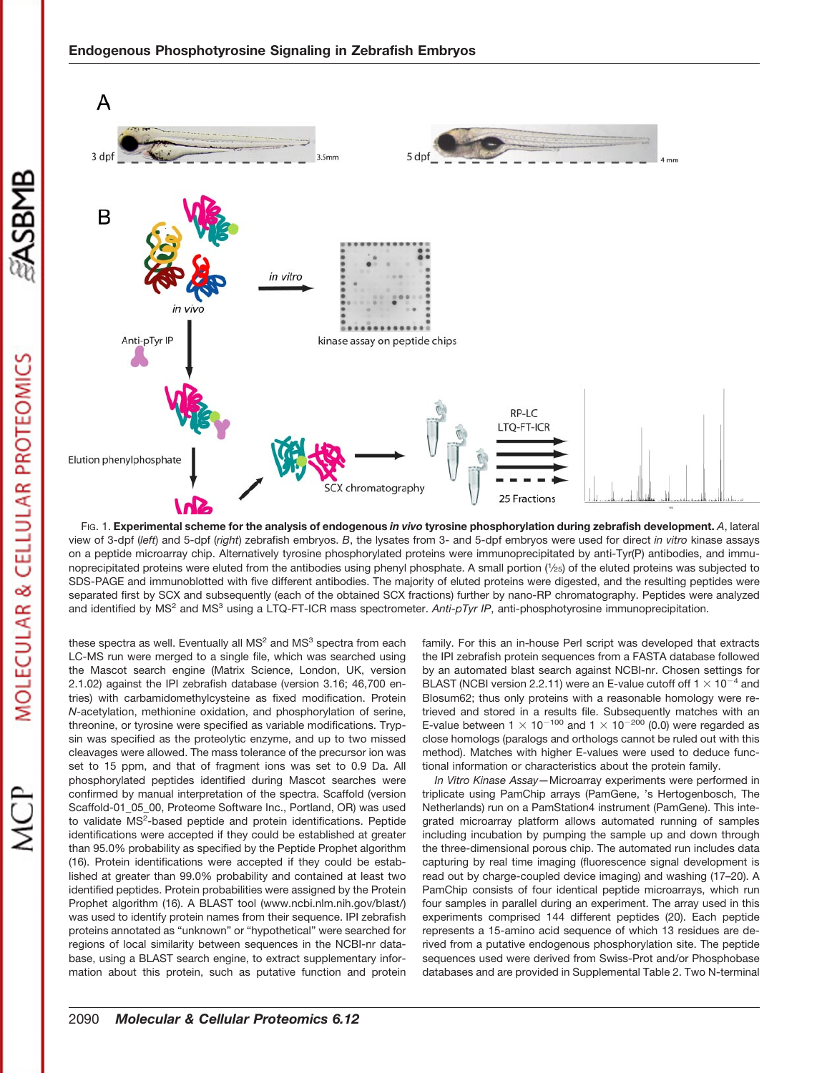

FIG. 1. **Experimental scheme for the analysis of endogenous** *in vivo* **tyrosine phosphorylation during zebrafish development.** *A*, lateral view of 3-dpf (*left*) and 5-dpf (*right*) zebrafish embryos. *B*, the lysates from 3- and 5-dpf embryos were used for direct *in vitro* kinase assays on a peptide microarray chip. Alternatively tyrosine phosphorylated proteins were immunoprecipitated by anti-Tyr(P) antibodies, and immunoprecipitated proteins were eluted from the antibodies using phenyl phosphate. A small portion (1/25) of the eluted proteins was subjected to SDS-PAGE and immunoblotted with five different antibodies. The majority of eluted proteins were digested, and the resulting peptides were separated first by SCX and subsequently (each of the obtained SCX fractions) further by nano-RP chromatography. Peptides were analyzed and identified by MS<sup>2</sup> and MS<sup>3</sup> using a LTQ-FT-ICR mass spectrometer. Anti-pTyr IP, anti-phosphotyrosine immunoprecipitation.

these spectra as well. Eventually all  $MS<sup>2</sup>$  and  $MS<sup>3</sup>$  spectra from each LC-MS run were merged to a single file, which was searched using the Mascot search engine (Matrix Science, London, UK, version 2.1.02) against the IPI zebrafish database (version 3.16; 46,700 entries) with carbamidomethylcysteine as fixed modification. Protein *N*-acetylation, methionine oxidation, and phosphorylation of serine, threonine, or tyrosine were specified as variable modifications. Trypsin was specified as the proteolytic enzyme, and up to two missed cleavages were allowed. The mass tolerance of the precursor ion was set to 15 ppm, and that of fragment ions was set to 0.9 Da. All phosphorylated peptides identified during Mascot searches were confirmed by manual interpretation of the spectra. Scaffold (version Scaffold-01\_05\_00, Proteome Software Inc., Portland, OR) was used to validate MS<sup>2</sup>-based peptide and protein identifications. Peptide identifications were accepted if they could be established at greater than 95.0% probability as specified by the Peptide Prophet algorithm (16). Protein identifications were accepted if they could be established at greater than 99.0% probability and contained at least two identified peptides. Protein probabilities were assigned by the Protein Prophet algorithm (16). A BLAST tool (www.ncbi.nlm.nih.gov/blast/) was used to identify protein names from their sequence. IPI zebrafish proteins annotated as "unknown" or "hypothetical" were searched for regions of local similarity between sequences in the NCBI-nr database, using a BLAST search engine, to extract supplementary information about this protein, such as putative function and protein family. For this an in-house Perl script was developed that extracts the IPI zebrafish protein sequences from a FASTA database followed by an automated blast search against NCBI-nr. Chosen settings for BLAST (NCBI version 2.2.11) were an E-value cutoff off 1  $\times$  10<sup>-4</sup> and Blosum62; thus only proteins with a reasonable homology were retrieved and stored in a results file. Subsequently matches with an E-value between 1  $\times$  10<sup>-100</sup> and 1  $\times$  10<sup>-200</sup> (0.0) were regarded as close homologs (paralogs and orthologs cannot be ruled out with this method). Matches with higher E-values were used to deduce functional information or characteristics about the protein family.

*In Vitro Kinase Assay—*Microarray experiments were performed in triplicate using PamChip arrays (PamGene, 's Hertogenbosch, The Netherlands) run on a PamStation4 instrument (PamGene). This integrated microarray platform allows automated running of samples including incubation by pumping the sample up and down through the three-dimensional porous chip. The automated run includes data capturing by real time imaging (fluorescence signal development is read out by charge-coupled device imaging) and washing (17–20). A PamChip consists of four identical peptide microarrays, which run four samples in parallel during an experiment. The array used in this experiments comprised 144 different peptides (20). Each peptide represents a 15-amino acid sequence of which 13 residues are derived from a putative endogenous phosphorylation site. The peptide sequences used were derived from Swiss-Prot and/or Phosphobase databases and are provided in Supplemental Table 2. Two N-terminal

SBMB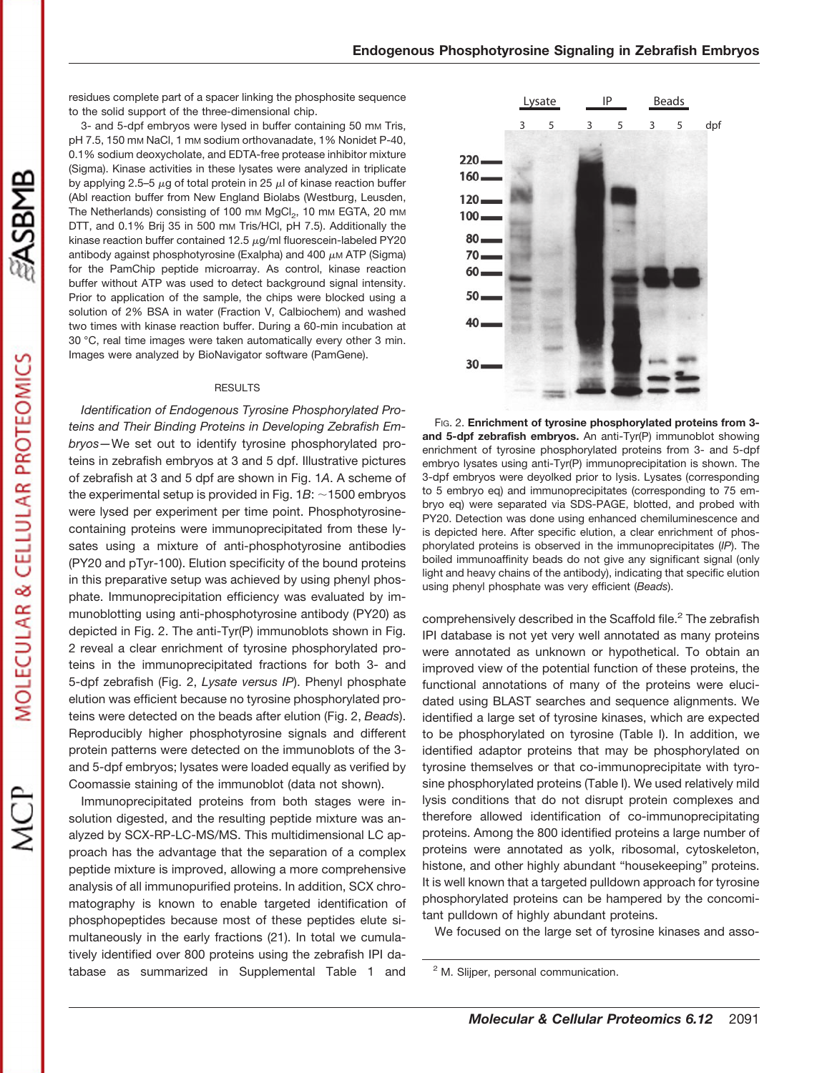residues complete part of a spacer linking the phosphosite sequence to the solid support of the three-dimensional chip.

3- and 5-dpf embryos were lysed in buffer containing 50 mm Tris, pH 7.5, 150 mM NaCl, 1 mM sodium orthovanadate, 1% Nonidet P-40, 0.1% sodium deoxycholate, and EDTA-free protease inhibitor mixture (Sigma). Kinase activities in these lysates were analyzed in triplicate by applying 2.5–5  $\mu$ g of total protein in 25  $\mu$ l of kinase reaction buffer (Abl reaction buffer from New England Biolabs (Westburg, Leusden, The Netherlands) consisting of 100 mm MgCl<sub>2</sub>, 10 mm EGTA, 20 mm DTT, and 0.1% Brij 35 in 500 mM Tris/HCl, pH 7.5). Additionally the kinase reaction buffer contained 12.5  $\mu$ g/ml fluorescein-labeled PY20 antibody against phosphotyrosine (Exalpha) and 400  $\mu$ M ATP (Sigma) for the PamChip peptide microarray. As control, kinase reaction buffer without ATP was used to detect background signal intensity. Prior to application of the sample, the chips were blocked using a solution of 2% BSA in water (Fraction V, Calbiochem) and washed two times with kinase reaction buffer. During a 60-min incubation at 30 °C, real time images were taken automatically every other 3 min. Images were analyzed by BioNavigator software (PamGene).

## **RESULTS**

*Identification of Endogenous Tyrosine Phosphorylated Proteins and Their Binding Proteins in Developing Zebrafish Embryos—*We set out to identify tyrosine phosphorylated proteins in zebrafish embryos at 3 and 5 dpf. Illustrative pictures of zebrafish at 3 and 5 dpf are shown in Fig. 1*A*. A scheme of the experimental setup is provided in Fig.  $1B: \sim 1500$  embryos were lysed per experiment per time point. Phosphotyrosinecontaining proteins were immunoprecipitated from these lysates using a mixture of anti-phosphotyrosine antibodies (PY20 and pTyr-100). Elution specificity of the bound proteins in this preparative setup was achieved by using phenyl phosphate. Immunoprecipitation efficiency was evaluated by immunoblotting using anti-phosphotyrosine antibody (PY20) as depicted in Fig. 2. The anti-Tyr(P) immunoblots shown in Fig. 2 reveal a clear enrichment of tyrosine phosphorylated proteins in the immunoprecipitated fractions for both 3- and 5-dpf zebrafish (Fig. 2, *Lysate versus IP*). Phenyl phosphate elution was efficient because no tyrosine phosphorylated proteins were detected on the beads after elution (Fig. 2, *Beads*). Reproducibly higher phosphotyrosine signals and different protein patterns were detected on the immunoblots of the 3 and 5-dpf embryos; lysates were loaded equally as verified by Coomassie staining of the immunoblot (data not shown).

Immunoprecipitated proteins from both stages were insolution digested, and the resulting peptide mixture was analyzed by SCX-RP-LC-MS/MS. This multidimensional LC approach has the advantage that the separation of a complex peptide mixture is improved, allowing a more comprehensive analysis of all immunopurified proteins. In addition, SCX chromatography is known to enable targeted identification of phosphopeptides because most of these peptides elute simultaneously in the early fractions (21). In total we cumulatively identified over 800 proteins using the zebrafish IPI database as summarized in Supplemental Table 1 and



FIG. 2. **Enrichment of tyrosine phosphorylated proteins from 3 and 5-dpf zebrafish embryos.** An anti-Tyr(P) immunoblot showing enrichment of tyrosine phosphorylated proteins from 3- and 5-dpf embryo lysates using anti-Tyr(P) immunoprecipitation is shown. The 3-dpf embryos were deyolked prior to lysis. Lysates (corresponding to 5 embryo eq) and immunoprecipitates (corresponding to 75 embryo eq) were separated via SDS-PAGE, blotted, and probed with PY20. Detection was done using enhanced chemiluminescence and is depicted here. After specific elution, a clear enrichment of phosphorylated proteins is observed in the immunoprecipitates (*IP*). The boiled immunoaffinity beads do not give any significant signal (only light and heavy chains of the antibody), indicating that specific elution using phenyl phosphate was very efficient (*Beads*).

comprehensively described in the Scaffold file.<sup>2</sup> The zebrafish IPI database is not yet very well annotated as many proteins were annotated as unknown or hypothetical. To obtain an improved view of the potential function of these proteins, the functional annotations of many of the proteins were elucidated using BLAST searches and sequence alignments. We identified a large set of tyrosine kinases, which are expected to be phosphorylated on tyrosine (Table I). In addition, we identified adaptor proteins that may be phosphorylated on tyrosine themselves or that co-immunoprecipitate with tyrosine phosphorylated proteins (Table I). We used relatively mild lysis conditions that do not disrupt protein complexes and therefore allowed identification of co-immunoprecipitating proteins. Among the 800 identified proteins a large number of proteins were annotated as yolk, ribosomal, cytoskeleton, histone, and other highly abundant "housekeeping" proteins. It is well known that a targeted pulldown approach for tyrosine phosphorylated proteins can be hampered by the concomitant pulldown of highly abundant proteins.

We focused on the large set of tyrosine kinases and asso-

<sup>2</sup> M. Slijper, personal communication.

**EASBMB**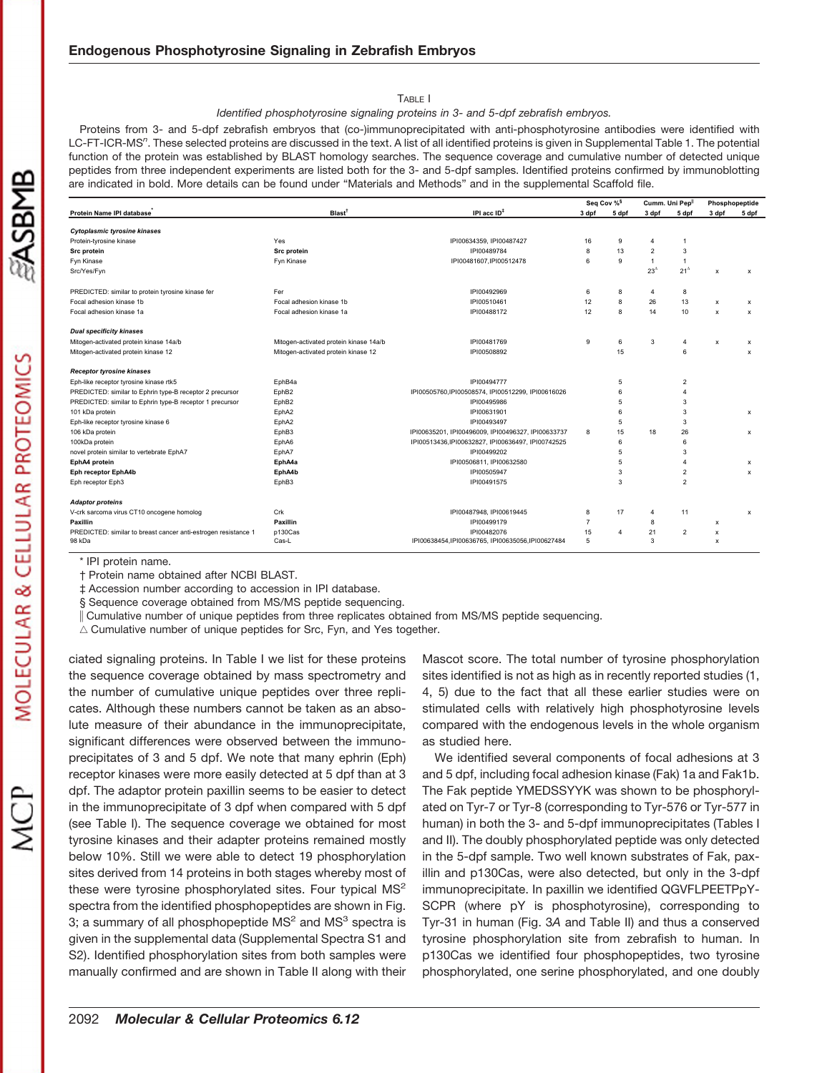#### *Identified phosphotyrosine signaling proteins in 3- and 5-dpf zebrafish embryos.*

Proteins from 3- and 5-dpf zebrafish embryos that (co-)immunoprecipitated with anti-phosphotyrosine antibodies were identified with LC-FT-ICR-MS<sup>n</sup>. These selected proteins are discussed in the text. A list of all identified proteins is given in Supplemental Table 1. The potential function of the protein was established by BLAST homology searches. The sequence coverage and cumulative number of detected unique peptides from three independent experiments are listed both for the 3- and 5-dpf samples. Identified proteins confirmed by immunoblotting are indicated in bold. More details can be found under "Materials and Methods" and in the supplemental Scaffold file.

|                                                                |                                        |                                                    | Seq Cov % <sup>§</sup> |                | Cumm. Uni Pep <sup>ll</sup> |                | Phosphopeptide |                           |
|----------------------------------------------------------------|----------------------------------------|----------------------------------------------------|------------------------|----------------|-----------------------------|----------------|----------------|---------------------------|
| Protein Name IPI database                                      | <b>Blast</b>                           | IPI acc ID <sup>‡</sup>                            | 3 dpf                  | 5 dpf          | 3 dpf                       | 5 dpf          | 3 dpf          | 5 dpf                     |
| <b>Cytoplasmic tyrosine kinases</b>                            |                                        |                                                    |                        |                |                             |                |                |                           |
| Protein-tyrosine kinase                                        | Yes                                    | IPI00634359, IPI00487427                           | 16                     | 9              | 4                           | $\overline{1}$ |                |                           |
| Src protein                                                    | Src protein                            | IPI00489784                                        | 8                      | 13             | $\overline{2}$              | 3              |                |                           |
| Fyn Kinase                                                     | Fyn Kinase                             | IPI00481607,IPI00512478                            | 6                      | 9              | $\mathbf{1}$                | $\mathbf{1}$   |                |                           |
| Src/Yes/Fyn                                                    |                                        |                                                    |                        |                | $23^{\Delta}$               | $21^{\circ}$   | $\mathsf{x}$   | $\pmb{\times}$            |
| PREDICTED: similar to protein tyrosine kinase fer              | Fer                                    | IPI00492969                                        | 6                      | 8              | 4                           | 8              |                |                           |
| Focal adhesion kinase 1b                                       | Focal adhesion kinase 1b               | IPI00510461                                        | 12                     | 8              | 26                          | 13             | x              | x                         |
| Focal adhesion kinase 1a                                       | Focal adhesion kinase 1a               | IPI00488172                                        | 12                     | 8              | 14                          | 10             | $\mathbf{x}$   | x                         |
| <b>Dual specificity kinases</b>                                |                                        |                                                    |                        |                |                             |                |                |                           |
| Mitogen-activated protein kinase 14a/b                         | Mitogen-activated protein kinase 14a/b | IPI00481769                                        | 9                      | 6              | 3                           | 4              | $\mathsf{x}$   | x                         |
| Mitogen-activated protein kinase 12                            | Mitogen-activated protein kinase 12    | IPI00508892                                        |                        | 15             |                             | 6              |                | x                         |
| <b>Receptor tyrosine kinases</b>                               |                                        |                                                    |                        |                |                             |                |                |                           |
| Eph-like receptor tyrosine kinase rtk5                         | EphB4a                                 | IPI00494777                                        |                        | 5              |                             | 2              |                |                           |
| PREDICTED: similar to Ephrin type-B receptor 2 precursor       | EphB2                                  | IPI00505760,IPI00508574, IPI00512299, IPI00616026  |                        | 6              |                             |                |                |                           |
| PREDICTED: similar to Ephrin type-B receptor 1 precursor       | EphB2                                  | IPI00495986                                        |                        | 5              |                             | 3              |                |                           |
| 101 kDa protein                                                | EphA2                                  | IPI00631901                                        |                        | 6              |                             | 3              |                | $\mathsf{x}$              |
| Eph-like receptor tyrosine kinase 6                            | EphA2                                  | IPI00493497                                        |                        | 5              |                             | 3              |                |                           |
| 106 kDa protein                                                | EphB3                                  | IPI00635201, IPI00496009, IPI00496327, IPI00633737 | 8                      | 15             | 18                          | 26             |                | $\mathsf{x}$              |
| 100kDa protein                                                 | EphA6                                  | IPI00513436,IPI00632827, IPI00636497, IPI00742525  |                        | 6              |                             | 6              |                |                           |
| novel protein similar to vertebrate EphA7                      | EphA7                                  | IPI00499202                                        |                        | 5              |                             | 3              |                |                           |
| EphA4 protein                                                  | EphA4a                                 | IPI00506811, IPI00632580                           |                        | 5              |                             | 4              |                | $\boldsymbol{\mathsf{x}}$ |
| Eph receptor EphA4b                                            | EphA4b                                 | IPI00505947                                        |                        | 3              |                             | 2              |                | x                         |
| Eph receptor Eph3                                              | EphB3                                  | IPI00491575                                        |                        | 3              |                             | $\overline{2}$ |                |                           |
| <b>Adaptor proteins</b>                                        |                                        |                                                    |                        |                |                             |                |                |                           |
| V-crk sarcoma virus CT10 oncogene homolog                      | Crk                                    | IPI00487948, IPI00619445                           | 8                      | 17             | $\overline{4}$              | 11             |                | x                         |
| Paxillin                                                       | Paxillin                               | IPI00499179                                        | $\overline{7}$         |                | 8                           |                | x              |                           |
| PREDICTED: similar to breast cancer anti-estrogen resistance 1 | p130Cas                                | IPI00482076                                        | 15                     | $\overline{4}$ | 21                          | $\overline{2}$ | x              |                           |
| 98 kDa                                                         | Cas-L                                  | IPI00638454,IPI00636765, IPI00635056,IPI00627484   | 5                      |                | 3                           |                | x              |                           |

\* IPI protein name.

† Protein name obtained after NCBI BLAST.

‡ Accession number according to accession in IPI database.

§ Sequence coverage obtained from MS/MS peptide sequencing.

Cumulative number of unique peptides from three replicates obtained from MS/MS peptide sequencing.

 $\triangle$  Cumulative number of unique peptides for Src, Fyn, and Yes together.

ciated signaling proteins. In Table I we list for these proteins the sequence coverage obtained by mass spectrometry and the number of cumulative unique peptides over three replicates. Although these numbers cannot be taken as an absolute measure of their abundance in the immunoprecipitate, significant differences were observed between the immunoprecipitates of 3 and 5 dpf. We note that many ephrin (Eph) receptor kinases were more easily detected at 5 dpf than at 3 dpf. The adaptor protein paxillin seems to be easier to detect in the immunoprecipitate of 3 dpf when compared with 5 dpf (see Table I). The sequence coverage we obtained for most tyrosine kinases and their adapter proteins remained mostly below 10%. Still we were able to detect 19 phosphorylation sites derived from 14 proteins in both stages whereby most of these were tyrosine phosphorylated sites. Four typical  $MS<sup>2</sup>$ spectra from the identified phosphopeptides are shown in Fig. 3; a summary of all phosphopeptide  $MS<sup>2</sup>$  and  $MS<sup>3</sup>$  spectra is given in the supplemental data (Supplemental Spectra S1 and S2). Identified phosphorylation sites from both samples were manually confirmed and are shown in Table II along with their Mascot score. The total number of tyrosine phosphorylation sites identified is not as high as in recently reported studies (1, 4, 5) due to the fact that all these earlier studies were on stimulated cells with relatively high phosphotyrosine levels compared with the endogenous levels in the whole organism as studied here.

We identified several components of focal adhesions at 3 and 5 dpf, including focal adhesion kinase (Fak) 1a and Fak1b. The Fak peptide YMEDSSYYK was shown to be phosphorylated on Tyr-7 or Tyr-8 (corresponding to Tyr-576 or Tyr-577 in human) in both the 3- and 5-dpf immunoprecipitates (Tables I and II). The doubly phosphorylated peptide was only detected in the 5-dpf sample. Two well known substrates of Fak, paxillin and p130Cas, were also detected, but only in the 3-dpf immunoprecipitate. In paxillin we identified QGVFLPEETPpY-SCPR (where pY is phosphotyrosine), corresponding to Tyr-31 in human (Fig. 3*A* and Table II) and thus a conserved tyrosine phosphorylation site from zebrafish to human. In p130Cas we identified four phosphopeptides, two tyrosine phosphorylated, one serine phosphorylated, and one doubly

**ASBMB**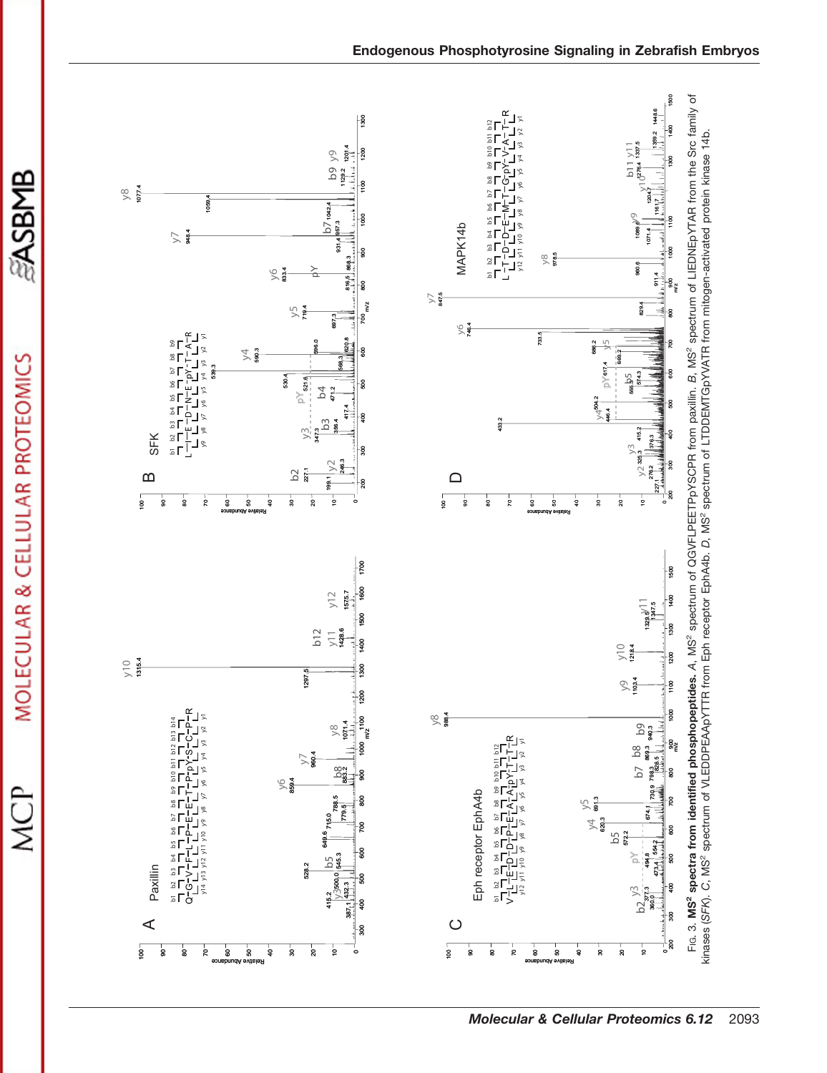

**EASBMB** 

MOLECULAR & CELLULAR PROTEOMICS

**MCP**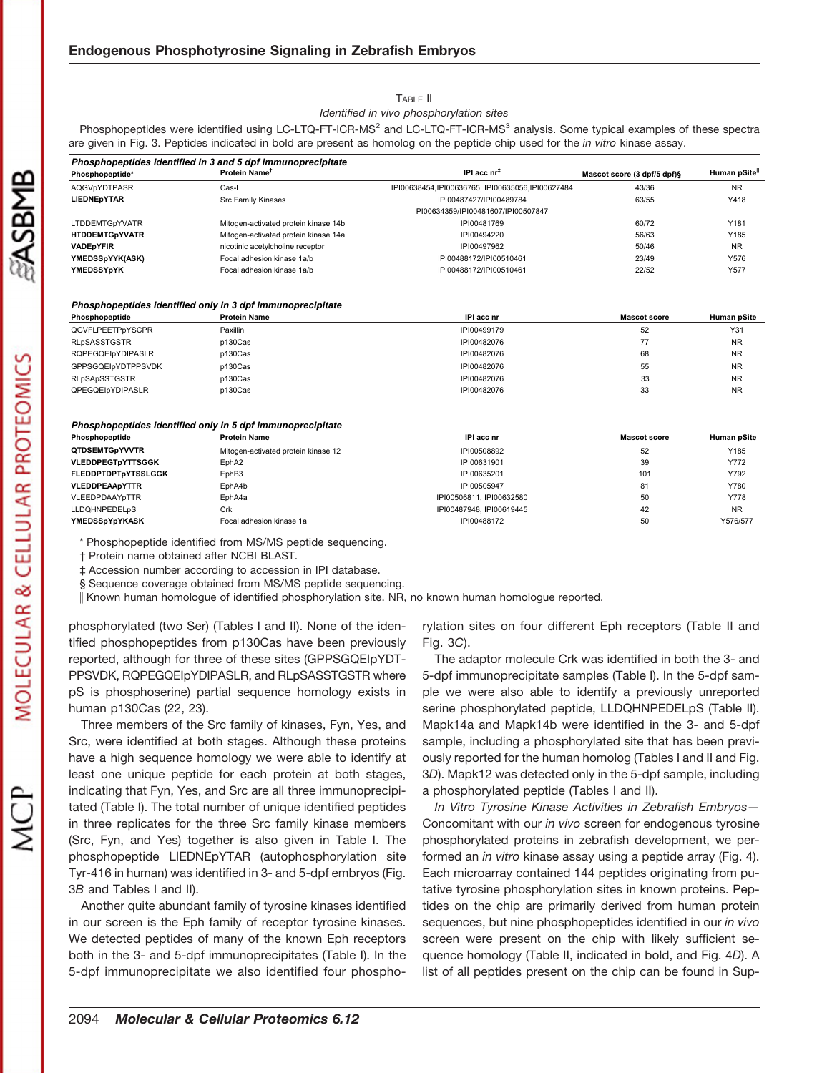# TABLE II *Identified in vivo phosphorylation sites*

Phosphopeptides were identified using LC-LTQ-FT-ICR-MS<sup>2</sup> and LC-LTQ-FT-ICR-MS<sup>3</sup> analysis. Some typical examples of these spectra are given in Fig. 3. Peptides indicated in bold are present as homolog on the peptide chip used for the *in vitro* kinase assay.

| Phosphopeptides identified in 3 and 5 dpf immunoprecipitate<br>Protein Name <sup>t</sup><br>Phosphopeptide* |                                      | IPI acc $nr^{\ddagger}$                          | Mascot score (3 dpf/5 dpf)§ | Human pSitell |  |
|-------------------------------------------------------------------------------------------------------------|--------------------------------------|--------------------------------------------------|-----------------------------|---------------|--|
| <b>AQGVpYDTPASR</b>                                                                                         | Cas-L                                | IPI00638454,IPI00636765, IPI00635056,IPI00627484 | 43/36                       | <b>NR</b>     |  |
| <b>LIEDNEDYTAR</b>                                                                                          | <b>Src Family Kinases</b>            | IPI00487427/IPI00489784                          | 63/55                       | Y418          |  |
|                                                                                                             |                                      | PI00634359/IPI00481607/IPI00507847               |                             |               |  |
| <b>LTDDEMTGpYVATR</b>                                                                                       | Mitogen-activated protein kinase 14b | IPI00481769                                      | 60/72                       | Y181          |  |
| <b>HTDDEMTGpYVATR</b>                                                                                       | Mitogen-activated protein kinase 14a | IPI00494220                                      | 56/63                       | Y185          |  |
| <b>VADEpYFIR</b>                                                                                            | nicotinic acetylcholine receptor     | IPI00497962                                      | 50/46                       | <b>NR</b>     |  |
| YMEDSSpYYK(ASK)                                                                                             | Focal adhesion kinase 1a/b           | IPI00488172/IPI00510461                          | 23/49                       | Y576          |  |
| <b>YMEDSSYpYK</b>                                                                                           | Focal adhesion kinase 1a/b           | IPI00488172/IPI00510461                          | 22/52                       | Y577          |  |
|                                                                                                             |                                      |                                                  |                             |               |  |

# *Phosphopeptides identified only in 3 dpf immunoprecipitate*

| Phosphopeptide            | <b>Protein Name</b> | IPI acc nr  | <b>Mascot score</b> | <b>Human pSite</b> |
|---------------------------|---------------------|-------------|---------------------|--------------------|
| QGVFLPEETPpYSCPR          | Paxillin            | IPI00499179 | 52                  | Y31                |
| <b>RLpSASSTGSTR</b>       | p130Cas             | IPI00482076 | 77                  | <b>NR</b>          |
| <b>RQPEGQEIpYDIPASLR</b>  | p130Cas             | IPI00482076 | 68                  | <b>NR</b>          |
| <b>GPPSGQEIpYDTPPSVDK</b> | p130Cas             | IPI00482076 | 55                  | <b>NR</b>          |
| <b>RLpSApSSTGSTR</b>      | p130Cas             | IPI00482076 | 33                  | <b>NR</b>          |
| QPEGQEIpYDIPASLR          | p130Cas             | IPI00482076 | 33                  | <b>NR</b>          |

### *Phosphopeptides identified only in 5 dpf immunoprecipitate*

| Phosphopeptide             | <b>Protein Name</b>                 | IPI acc nr               | <b>Mascot score</b> | <b>Human pSite</b> |  |
|----------------------------|-------------------------------------|--------------------------|---------------------|--------------------|--|
| <b>QTDSEMTGpYVVTR</b>      | Mitogen-activated protein kinase 12 | IPI00508892              | 52                  | Y185               |  |
| VLEDDPEGTpYTTSGGK          | EphA2                               | IPI00631901              | 39                  | Y772               |  |
| <b>FLEDDPTDPTpYTSSLGGK</b> | EphB3                               | IPI00635201              | 101                 | Y792               |  |
| <b>VLEDDPEAApYTTR</b>      | EphA4b                              | IPI00505947              | 81                  | Y780               |  |
| VLEEDPDAAYpTTR             | EphA4a                              | IPI00506811, IPI00632580 | 50                  | Y778               |  |
| <b>LLDQHNPEDELpS</b>       | Crk                                 | IPI00487948, IPI00619445 | 42                  | <b>NR</b>          |  |
| YMEDSSpYpYKASK             | Focal adhesion kinase 1a            | IPI00488172              | 50                  | Y576/577           |  |

\* Phosphopeptide identified from MS/MS peptide sequencing.

† Protein name obtained after NCBI BLAST.

‡ Accession number according to accession in IPI database.

§ Sequence coverage obtained from MS/MS peptide sequencing.

Known human homologue of identified phosphorylation site. NR, no known human homologue reported.

phosphorylated (two Ser) (Tables I and II). None of the identified phosphopeptides from p130Cas have been previously reported, although for three of these sites (GPPSGQEIpYDT-PPSVDK, RQPEGQEIpYDIPASLR, and RLpSASSTGSTR where pS is phosphoserine) partial sequence homology exists in human p130Cas (22, 23).

Three members of the Src family of kinases, Fyn, Yes, and Src, were identified at both stages. Although these proteins have a high sequence homology we were able to identify at least one unique peptide for each protein at both stages, indicating that Fyn, Yes, and Src are all three immunoprecipitated (Table I). The total number of unique identified peptides in three replicates for the three Src family kinase members (Src, Fyn, and Yes) together is also given in Table I. The phosphopeptide LIEDNEpYTAR (autophosphorylation site Tyr-416 in human) was identified in 3- and 5-dpf embryos (Fig. 3*B* and Tables I and II).

Another quite abundant family of tyrosine kinases identified in our screen is the Eph family of receptor tyrosine kinases. We detected peptides of many of the known Eph receptors both in the 3- and 5-dpf immunoprecipitates (Table I). In the 5-dpf immunoprecipitate we also identified four phosphorylation sites on four different Eph receptors (Table II and Fig. 3*C*).

The adaptor molecule Crk was identified in both the 3- and 5-dpf immunoprecipitate samples (Table I). In the 5-dpf sample we were also able to identify a previously unreported serine phosphorylated peptide, LLDQHNPEDELpS (Table II). Mapk14a and Mapk14b were identified in the 3- and 5-dpf sample, including a phosphorylated site that has been previously reported for the human homolog (Tables I and II and Fig. 3*D*). Mapk12 was detected only in the 5-dpf sample, including a phosphorylated peptide (Tables I and II).

*In Vitro Tyrosine Kinase Activities in Zebrafish Embryos—* Concomitant with our *in vivo* screen for endogenous tyrosine phosphorylated proteins in zebrafish development, we performed an *in vitro* kinase assay using a peptide array (Fig. 4). Each microarray contained 144 peptides originating from putative tyrosine phosphorylation sites in known proteins. Peptides on the chip are primarily derived from human protein sequences, but nine phosphopeptides identified in our *in vivo* screen were present on the chip with likely sufficient sequence homology (Table II, indicated in bold, and Fig. 4*D*). A list of all peptides present on the chip can be found in Sup-

ASBMB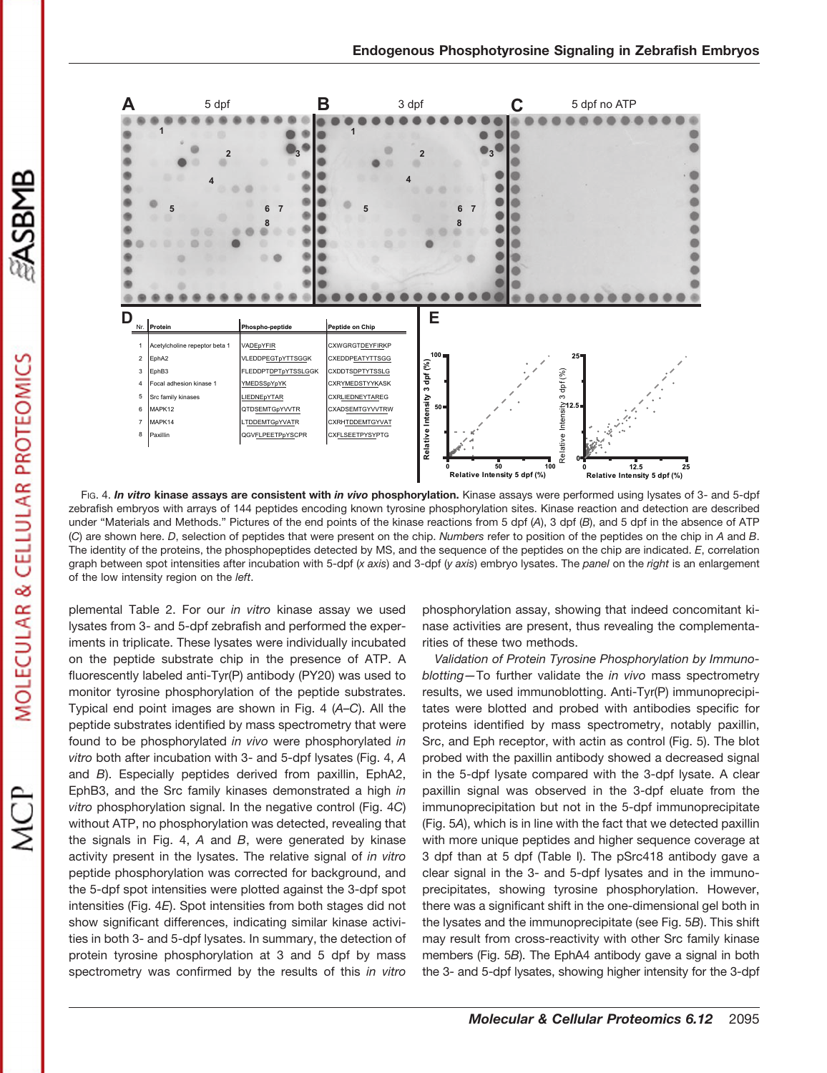

FIG. 4. *In vitro* **kinase assays are consistent with** *in vivo* **phosphorylation.** Kinase assays were performed using lysates of 3- and 5-dpf zebrafish embryos with arrays of 144 peptides encoding known tyrosine phosphorylation sites. Kinase reaction and detection are described under "Materials and Methods." Pictures of the end points of the kinase reactions from 5 dpf (*A*), 3 dpf (*B*), and 5 dpf in the absence of ATP (*C*) are shown here. *D*, selection of peptides that were present on the chip. *Numbers* refer to position of the peptides on the chip in *A* and *B*. The identity of the proteins, the phosphopeptides detected by MS, and the sequence of the peptides on the chip are indicated. *E*, correlation graph between spot intensities after incubation with 5-dpf (*x axis*) and 3-dpf (*y axis*) embryo lysates. The *panel* on the *right* is an enlargement of the low intensity region on the *left*.

plemental Table 2. For our *in vitro* kinase assay we used lysates from 3- and 5-dpf zebrafish and performed the experiments in triplicate. These lysates were individually incubated on the peptide substrate chip in the presence of ATP. A fluorescently labeled anti-Tyr(P) antibody (PY20) was used to monitor tyrosine phosphorylation of the peptide substrates. Typical end point images are shown in Fig. 4 (*A–C*). All the peptide substrates identified by mass spectrometry that were found to be phosphorylated *in vivo* were phosphorylated *in vitro* both after incubation with 3- and 5-dpf lysates (Fig. 4, *A* and *B*). Especially peptides derived from paxillin, EphA2, EphB3, and the Src family kinases demonstrated a high *in vitro* phosphorylation signal. In the negative control (Fig. 4*C*) without ATP, no phosphorylation was detected, revealing that the signals in Fig. 4, *A* and *B*, were generated by kinase activity present in the lysates. The relative signal of *in vitro* peptide phosphorylation was corrected for background, and the 5-dpf spot intensities were plotted against the 3-dpf spot intensities (Fig. 4*E*). Spot intensities from both stages did not show significant differences, indicating similar kinase activities in both 3- and 5-dpf lysates. In summary, the detection of protein tyrosine phosphorylation at 3 and 5 dpf by mass spectrometry was confirmed by the results of this *in vitro* phosphorylation assay, showing that indeed concomitant kinase activities are present, thus revealing the complementarities of these two methods.

*Validation of Protein Tyrosine Phosphorylation by Immunoblotting—*To further validate the *in vivo* mass spectrometry results, we used immunoblotting. Anti-Tyr(P) immunoprecipitates were blotted and probed with antibodies specific for proteins identified by mass spectrometry, notably paxillin, Src, and Eph receptor, with actin as control (Fig. 5). The blot probed with the paxillin antibody showed a decreased signal in the 5-dpf lysate compared with the 3-dpf lysate. A clear paxillin signal was observed in the 3-dpf eluate from the immunoprecipitation but not in the 5-dpf immunoprecipitate (Fig. 5*A*), which is in line with the fact that we detected paxillin with more unique peptides and higher sequence coverage at 3 dpf than at 5 dpf (Table I). The pSrc418 antibody gave a clear signal in the 3- and 5-dpf lysates and in the immunoprecipitates, showing tyrosine phosphorylation. However, there was a significant shift in the one-dimensional gel both in the lysates and the immunoprecipitate (see Fig. 5*B*). This shift may result from cross-reactivity with other Src family kinase members (Fig. 5*B*). The EphA4 antibody gave a signal in both the 3- and 5-dpf lysates, showing higher intensity for the 3-dpf

**ENSBNB**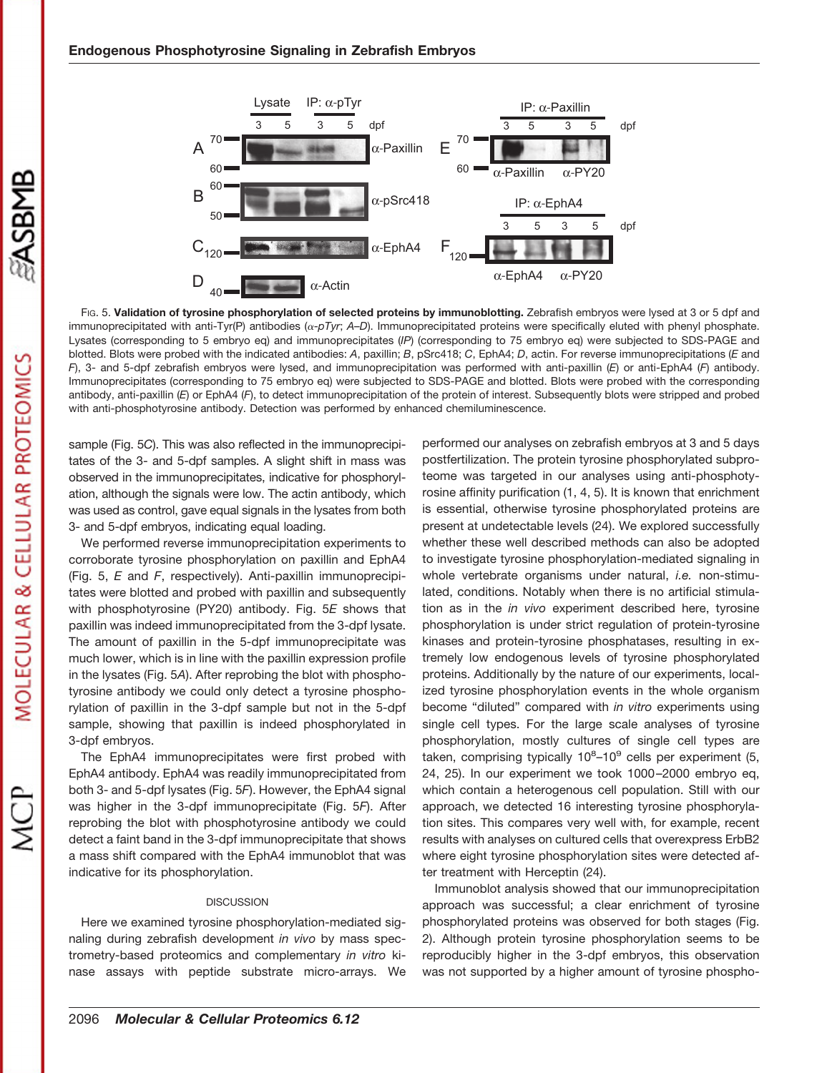

FIG. 5. **Validation of tyrosine phosphorylation of selected proteins by immunoblotting.** Zebrafish embryos were lysed at 3 or 5 dpf and immunoprecipitated with anti-Tyr(P) antibodies (α-*pTyr*; A–D). Immunoprecipitated proteins were specifically eluted with phenyl phosphate. Lysates (corresponding to 5 embryo eq) and immunoprecipitates (*IP*) (corresponding to 75 embryo eq) were subjected to SDS-PAGE and blotted. Blots were probed with the indicated antibodies: *A*, paxillin; *B*, pSrc418; *C*, EphA4; *D*, actin. For reverse immunoprecipitations (*E* and *F*), 3- and 5-dpf zebrafish embryos were lysed, and immunoprecipitation was performed with anti-paxillin (*E*) or anti-EphA4 (*F*) antibody. Immunoprecipitates (corresponding to 75 embryo eq) were subjected to SDS-PAGE and blotted. Blots were probed with the corresponding antibody, anti-paxillin (*E*) or EphA4 (*F*), to detect immunoprecipitation of the protein of interest. Subsequently blots were stripped and probed with anti-phosphotyrosine antibody. Detection was performed by enhanced chemiluminescence.

sample (Fig. 5*C*). This was also reflected in the immunoprecipitates of the 3- and 5-dpf samples. A slight shift in mass was observed in the immunoprecipitates, indicative for phosphorylation, although the signals were low. The actin antibody, which was used as control, gave equal signals in the lysates from both 3- and 5-dpf embryos, indicating equal loading.

We performed reverse immunoprecipitation experiments to corroborate tyrosine phosphorylation on paxillin and EphA4 (Fig. 5, *E* and *F*, respectively). Anti-paxillin immunoprecipitates were blotted and probed with paxillin and subsequently with phosphotyrosine (PY20) antibody. Fig. 5*E* shows that paxillin was indeed immunoprecipitated from the 3-dpf lysate. The amount of paxillin in the 5-dpf immunoprecipitate was much lower, which is in line with the paxillin expression profile in the lysates (Fig. 5*A*). After reprobing the blot with phosphotyrosine antibody we could only detect a tyrosine phosphorylation of paxillin in the 3-dpf sample but not in the 5-dpf sample, showing that paxillin is indeed phosphorylated in 3-dpf embryos.

The EphA4 immunoprecipitates were first probed with EphA4 antibody. EphA4 was readily immunoprecipitated from both 3- and 5-dpf lysates (Fig. 5*F*). However, the EphA4 signal was higher in the 3-dpf immunoprecipitate (Fig. 5*F*). After reprobing the blot with phosphotyrosine antibody we could detect a faint band in the 3-dpf immunoprecipitate that shows a mass shift compared with the EphA4 immunoblot that was indicative for its phosphorylation.

# **DISCUSSION**

Here we examined tyrosine phosphorylation-mediated signaling during zebrafish development *in vivo* by mass spectrometry-based proteomics and complementary *in vitro* kinase assays with peptide substrate micro-arrays. We

performed our analyses on zebrafish embryos at 3 and 5 days postfertilization. The protein tyrosine phosphorylated subproteome was targeted in our analyses using anti-phosphotyrosine affinity purification (1, 4, 5). It is known that enrichment is essential, otherwise tyrosine phosphorylated proteins are present at undetectable levels (24). We explored successfully whether these well described methods can also be adopted to investigate tyrosine phosphorylation-mediated signaling in whole vertebrate organisms under natural, *i.e.* non-stimulated, conditions. Notably when there is no artificial stimulation as in the *in vivo* experiment described here, tyrosine phosphorylation is under strict regulation of protein-tyrosine kinases and protein-tyrosine phosphatases, resulting in extremely low endogenous levels of tyrosine phosphorylated proteins. Additionally by the nature of our experiments, localized tyrosine phosphorylation events in the whole organism become "diluted" compared with *in vitro* experiments using single cell types. For the large scale analyses of tyrosine phosphorylation, mostly cultures of single cell types are taken, comprising typically 10<sup>8</sup>-10<sup>9</sup> cells per experiment (5, 24, 25). In our experiment we took 1000–2000 embryo eq, which contain a heterogenous cell population. Still with our approach, we detected 16 interesting tyrosine phosphorylation sites. This compares very well with, for example, recent results with analyses on cultured cells that overexpress ErbB2 where eight tyrosine phosphorylation sites were detected after treatment with Herceptin (24).

Immunoblot analysis showed that our immunoprecipitation approach was successful; a clear enrichment of tyrosine phosphorylated proteins was observed for both stages (Fig. 2). Although protein tyrosine phosphorylation seems to be reproducibly higher in the 3-dpf embryos, this observation was not supported by a higher amount of tyrosine phospho-

ASBMB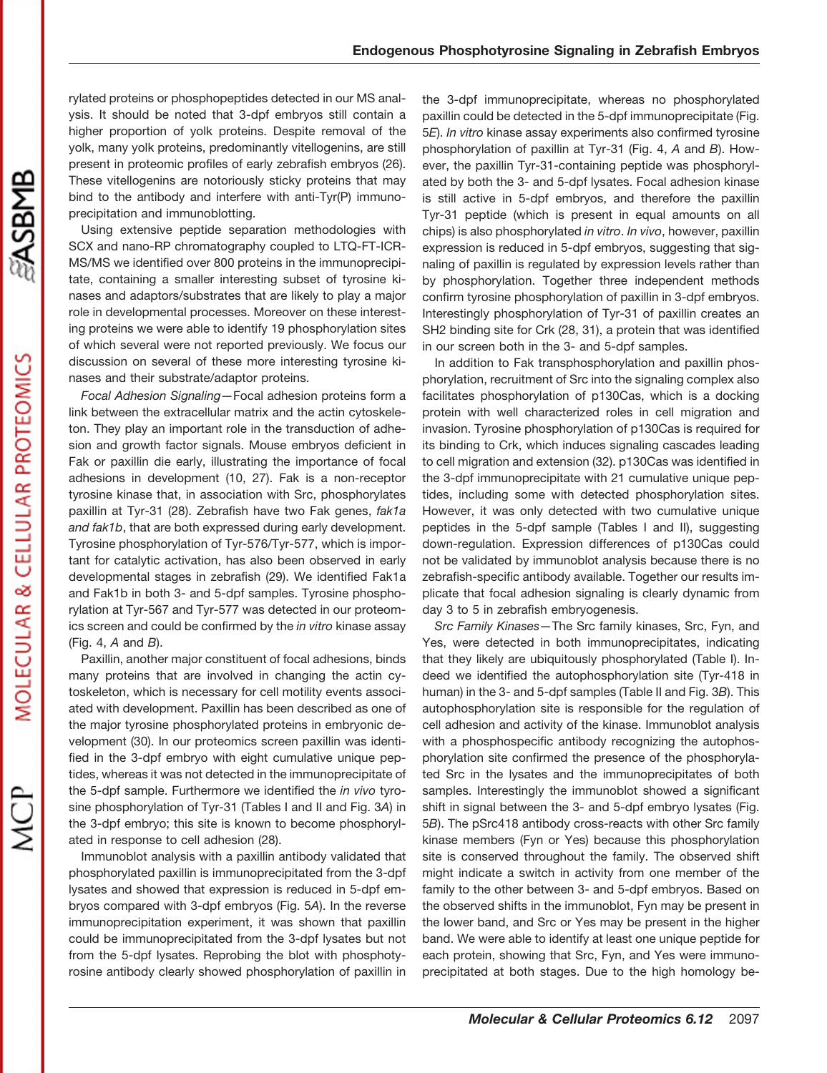rylated proteins or phosphopeptides detected in our MS analysis. It should be noted that 3-dpf embryos still contain a higher proportion of yolk proteins. Despite removal of the yolk, many yolk proteins, predominantly vitellogenins, are still present in proteomic profiles of early zebrafish embryos (26). These vitellogenins are notoriously sticky proteins that may bind to the antibody and interfere with anti-Tyr(P) immunoprecipitation and immunoblotting.

Using extensive peptide separation methodologies with SCX and nano-RP chromatography coupled to LTQ-FT-ICR-MS/MS we identified over 800 proteins in the immunoprecipitate, containing a smaller interesting subset of tyrosine kinases and adaptors/substrates that are likely to play a major role in developmental processes. Moreover on these interesting proteins we were able to identify 19 phosphorylation sites of which several were not reported previously. We focus our discussion on several of these more interesting tyrosine kinases and their substrate/adaptor proteins.

*Focal Adhesion Signaling—*Focal adhesion proteins form a link between the extracellular matrix and the actin cytoskeleton. They play an important role in the transduction of adhesion and growth factor signals. Mouse embryos deficient in Fak or paxillin die early, illustrating the importance of focal adhesions in development (10, 27). Fak is a non-receptor tyrosine kinase that, in association with Src, phosphorylates paxillin at Tyr-31 (28). Zebrafish have two Fak genes, *fak1a and fak1b*, that are both expressed during early development. Tyrosine phosphorylation of Tyr-576/Tyr-577, which is important for catalytic activation, has also been observed in early developmental stages in zebrafish (29). We identified Fak1a and Fak1b in both 3- and 5-dpf samples. Tyrosine phosphorylation at Tyr-567 and Tyr-577 was detected in our proteomics screen and could be confirmed by the *in vitro* kinase assay (Fig. 4, *A* and *B*).

Paxillin, another major constituent of focal adhesions, binds many proteins that are involved in changing the actin cytoskeleton, which is necessary for cell motility events associated with development. Paxillin has been described as one of the major tyrosine phosphorylated proteins in embryonic development (30). In our proteomics screen paxillin was identified in the 3-dpf embryo with eight cumulative unique peptides, whereas it was not detected in the immunoprecipitate of the 5-dpf sample. Furthermore we identified the *in vivo* tyrosine phosphorylation of Tyr-31 (Tables I and II and Fig. 3*A*) in the 3-dpf embryo; this site is known to become phosphorylated in response to cell adhesion (28).

Immunoblot analysis with a paxillin antibody validated that phosphorylated paxillin is immunoprecipitated from the 3-dpf lysates and showed that expression is reduced in 5-dpf embryos compared with 3-dpf embryos (Fig. 5*A*). In the reverse immunoprecipitation experiment, it was shown that paxillin could be immunoprecipitated from the 3-dpf lysates but not from the 5-dpf lysates. Reprobing the blot with phosphotyrosine antibody clearly showed phosphorylation of paxillin in the 3-dpf immunoprecipitate, whereas no phosphorylated paxillin could be detected in the 5-dpf immunoprecipitate (Fig. 5*E*). *In vitro* kinase assay experiments also confirmed tyrosine phosphorylation of paxillin at Tyr-31 (Fig. 4, *A* and *B*). However, the paxillin Tyr-31-containing peptide was phosphorylated by both the 3- and 5-dpf lysates. Focal adhesion kinase is still active in 5-dpf embryos, and therefore the paxillin Tyr-31 peptide (which is present in equal amounts on all chips) is also phosphorylated *in vitro*. *In vivo*, however, paxillin expression is reduced in 5-dpf embryos, suggesting that signaling of paxillin is regulated by expression levels rather than by phosphorylation. Together three independent methods confirm tyrosine phosphorylation of paxillin in 3-dpf embryos. Interestingly phosphorylation of Tyr-31 of paxillin creates an SH2 binding site for Crk (28, 31), a protein that was identified in our screen both in the 3- and 5-dpf samples.

In addition to Fak transphosphorylation and paxillin phosphorylation, recruitment of Src into the signaling complex also facilitates phosphorylation of p130Cas, which is a docking protein with well characterized roles in cell migration and invasion. Tyrosine phosphorylation of p130Cas is required for its binding to Crk, which induces signaling cascades leading to cell migration and extension (32). p130Cas was identified in the 3-dpf immunoprecipitate with 21 cumulative unique peptides, including some with detected phosphorylation sites. However, it was only detected with two cumulative unique peptides in the 5-dpf sample (Tables I and II), suggesting down-regulation. Expression differences of p130Cas could not be validated by immunoblot analysis because there is no zebrafish-specific antibody available. Together our results implicate that focal adhesion signaling is clearly dynamic from day 3 to 5 in zebrafish embryogenesis.

*Src Family Kinases—*The Src family kinases, Src, Fyn, and Yes, were detected in both immunoprecipitates, indicating that they likely are ubiquitously phosphorylated (Table I). Indeed we identified the autophosphorylation site (Tyr-418 in human) in the 3- and 5-dpf samples (Table II and Fig. 3*B*). This autophosphorylation site is responsible for the regulation of cell adhesion and activity of the kinase. Immunoblot analysis with a phosphospecific antibody recognizing the autophosphorylation site confirmed the presence of the phosphorylated Src in the lysates and the immunoprecipitates of both samples. Interestingly the immunoblot showed a significant shift in signal between the 3- and 5-dpf embryo lysates (Fig. 5*B*). The pSrc418 antibody cross-reacts with other Src family kinase members (Fyn or Yes) because this phosphorylation site is conserved throughout the family. The observed shift might indicate a switch in activity from one member of the family to the other between 3- and 5-dpf embryos. Based on the observed shifts in the immunoblot, Fyn may be present in the lower band, and Src or Yes may be present in the higher band. We were able to identify at least one unique peptide for each protein, showing that Src, Fyn, and Yes were immunoprecipitated at both stages. Due to the high homology be-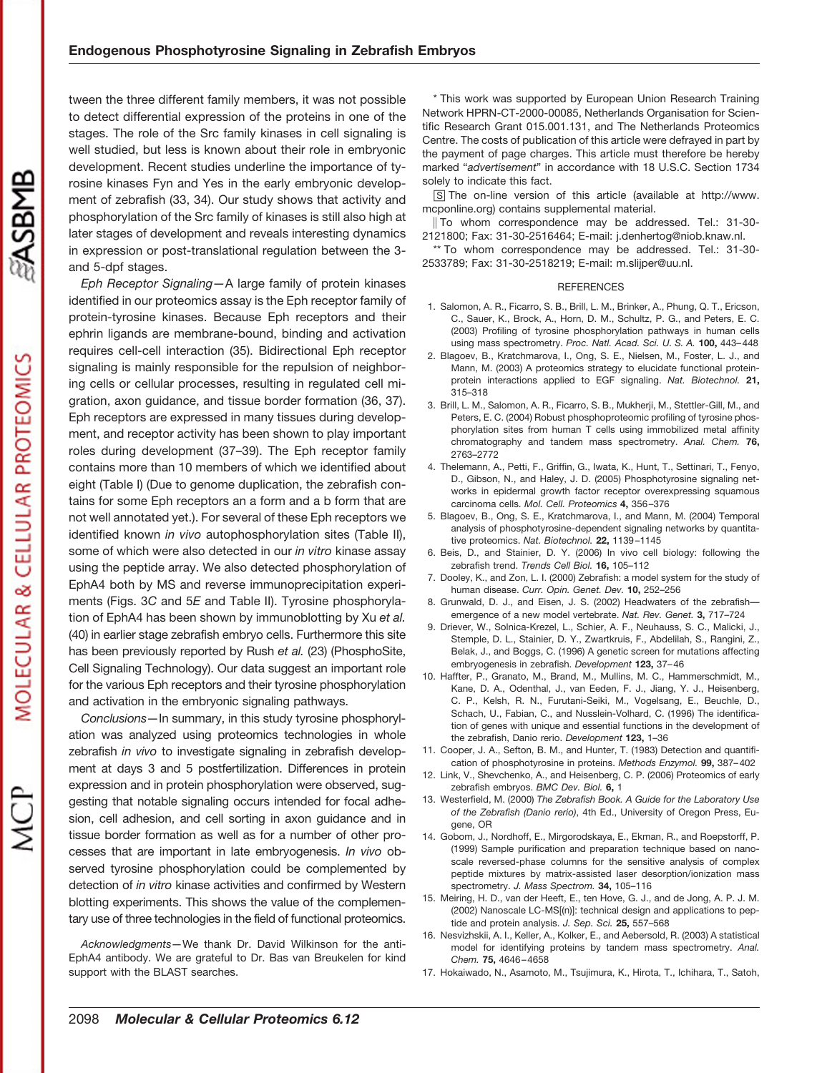tween the three different family members, it was not possible to detect differential expression of the proteins in one of the stages. The role of the Src family kinases in cell signaling is well studied, but less is known about their role in embryonic development. Recent studies underline the importance of tyrosine kinases Fyn and Yes in the early embryonic development of zebrafish (33, 34). Our study shows that activity and phosphorylation of the Src family of kinases is still also high at later stages of development and reveals interesting dynamics in expression or post-translational regulation between the 3 and 5-dpf stages.

*Eph Receptor Signaling—*A large family of protein kinases identified in our proteomics assay is the Eph receptor family of protein-tyrosine kinases. Because Eph receptors and their ephrin ligands are membrane-bound, binding and activation requires cell-cell interaction (35). Bidirectional Eph receptor signaling is mainly responsible for the repulsion of neighboring cells or cellular processes, resulting in regulated cell migration, axon guidance, and tissue border formation (36, 37). Eph receptors are expressed in many tissues during development, and receptor activity has been shown to play important roles during development (37–39). The Eph receptor family contains more than 10 members of which we identified about eight (Table I) (Due to genome duplication, the zebrafish contains for some Eph receptors an a form and a b form that are not well annotated yet.). For several of these Eph receptors we identified known *in vivo* autophosphorylation sites (Table II), some of which were also detected in our *in vitro* kinase assay using the peptide array. We also detected phosphorylation of EphA4 both by MS and reverse immunoprecipitation experiments (Figs. 3*C* and 5*E* and Table II). Tyrosine phosphorylation of EphA4 has been shown by immunoblotting by Xu *et al.* (40) in earlier stage zebrafish embryo cells. Furthermore this site has been previously reported by Rush *et al.* (23) (PhosphoSite, Cell Signaling Technology). Our data suggest an important role for the various Eph receptors and their tyrosine phosphorylation and activation in the embryonic signaling pathways.

*Conclusions—*In summary, in this study tyrosine phosphorylation was analyzed using proteomics technologies in whole zebrafish *in vivo* to investigate signaling in zebrafish development at days 3 and 5 postfertilization. Differences in protein expression and in protein phosphorylation were observed, suggesting that notable signaling occurs intended for focal adhesion, cell adhesion, and cell sorting in axon guidance and in tissue border formation as well as for a number of other processes that are important in late embryogenesis. *In vivo* observed tyrosine phosphorylation could be complemented by detection of *in vitro* kinase activities and confirmed by Western blotting experiments. This shows the value of the complementary use of three technologies in the field of functional proteomics.

*Acknowledgments—*We thank Dr. David Wilkinson for the anti-EphA4 antibody. We are grateful to Dr. Bas van Breukelen for kind support with the BLAST searches.

\* This work was supported by European Union Research Training Network HPRN-CT-2000-00085, Netherlands Organisation for Scientific Research Grant 015.001.131, and The Netherlands Proteomics Centre. The costs of publication of this article were defrayed in part by the payment of page charges. This article must therefore be hereby marked "*advertisement*" in accordance with 18 U.S.C. Section 1734 solely to indicate this fact.

□S The on-line version of this article (available at http://www. mcponline.org) contains supplemental material.

 To whom correspondence may be addressed. Tel.: 31-30- 2121800; Fax: 31-30-2516464; E-mail: j.denhertog@niob.knaw.nl.

\*\* To whom correspondence may be addressed. Tel.: 31-30- 2533789; Fax: 31-30-2518219; E-mail: m.slijper@uu.nl.

#### **REFERENCES**

- 1. Salomon, A. R., Ficarro, S. B., Brill, L. M., Brinker, A., Phung, Q. T., Ericson, C., Sauer, K., Brock, A., Horn, D. M., Schultz, P. G., and Peters, E. C. (2003) Profiling of tyrosine phosphorylation pathways in human cells using mass spectrometry. *Proc. Natl. Acad. Sci. U. S. A.* **100,** 443–448
- 2. Blagoev, B., Kratchmarova, I., Ong, S. E., Nielsen, M., Foster, L. J., and Mann, M. (2003) A proteomics strategy to elucidate functional proteinprotein interactions applied to EGF signaling. *Nat. Biotechnol.* **21,** 315–318
- 3. Brill, L. M., Salomon, A. R., Ficarro, S. B., Mukherji, M., Stettler-Gill, M., and Peters, E. C. (2004) Robust phosphoproteomic profiling of tyrosine phosphorylation sites from human T cells using immobilized metal affinity chromatography and tandem mass spectrometry. *Anal. Chem.* **76,** 2763–2772
- 4. Thelemann, A., Petti, F., Griffin, G., Iwata, K., Hunt, T., Settinari, T., Fenyo, D., Gibson, N., and Haley, J. D. (2005) Phosphotyrosine signaling networks in epidermal growth factor receptor overexpressing squamous carcinoma cells. *Mol. Cell. Proteomics* **4,** 356–376
- 5. Blagoev, B., Ong, S. E., Kratchmarova, I., and Mann, M. (2004) Temporal analysis of phosphotyrosine-dependent signaling networks by quantitative proteomics. *Nat. Biotechnol.* **22,** 1139–1145
- 6. Beis, D., and Stainier, D. Y. (2006) In vivo cell biology: following the zebrafish trend. *Trends Cell Biol.* **16,** 105–112
- 7. Dooley, K., and Zon, L. I. (2000) Zebrafish: a model system for the study of human disease. *Curr. Opin. Genet. Dev.* **10,** 252–256
- 8. Grunwald, D. J., and Eisen, J. S. (2002) Headwaters of the zebrafish emergence of a new model vertebrate. *Nat. Rev. Genet.* **3,** 717–724
- 9. Driever, W., Solnica-Krezel, L., Schier, A. F., Neuhauss, S. C., Malicki, J., Stemple, D. L., Stainier, D. Y., Zwartkruis, F., Abdelilah, S., Rangini, Z., Belak, J., and Boggs, C. (1996) A genetic screen for mutations affecting embryogenesis in zebrafish. *Development* **123,** 37–46
- 10. Haffter, P., Granato, M., Brand, M., Mullins, M. C., Hammerschmidt, M., Kane, D. A., Odenthal, J., van Eeden, F. J., Jiang, Y. J., Heisenberg, C. P., Kelsh, R. N., Furutani-Seiki, M., Vogelsang, E., Beuchle, D., Schach, U., Fabian, C., and Nusslein-Volhard, C. (1996) The identification of genes with unique and essential functions in the development of the zebrafish, Danio rerio. *Development* **123,** 1–36
- 11. Cooper, J. A., Sefton, B. M., and Hunter, T. (1983) Detection and quantification of phosphotyrosine in proteins. *Methods Enzymol.* **99,** 387–402
- 12. Link, V., Shevchenko, A., and Heisenberg, C. P. (2006) Proteomics of early zebrafish embryos. *BMC Dev. Biol.* **6,** 1
- 13. Westerfield, M. (2000) *The Zebrafish Book. A Guide for the Laboratory Use of the Zebrafish (Danio rerio)*, 4th Ed., University of Oregon Press, Eugene, OR
- 14. Gobom, J., Nordhoff, E., Mirgorodskaya, E., Ekman, R., and Roepstorff, P. (1999) Sample purification and preparation technique based on nanoscale reversed-phase columns for the sensitive analysis of complex peptide mixtures by matrix-assisted laser desorption/ionization mass spectrometry. *J. Mass Spectrom.* **34,** 105–116
- 15. Meiring, H. D., van der Heeft, E., ten Hove, G. J., and de Jong, A. P. J. M. (2002) Nanoscale LC-MS[(n)]: technical design and applications to peptide and protein analysis. *J. Sep. Sci.* **25,** 557–568
- 16. Nesvizhskii, A. I., Keller, A., Kolker, E., and Aebersold, R. (2003) A statistical model for identifying proteins by tandem mass spectrometry. *Anal. Chem.* **75,** 4646–4658
- 17. Hokaiwado, N., Asamoto, M., Tsujimura, K., Hirota, T., Ichihara, T., Satoh,

ASRMR